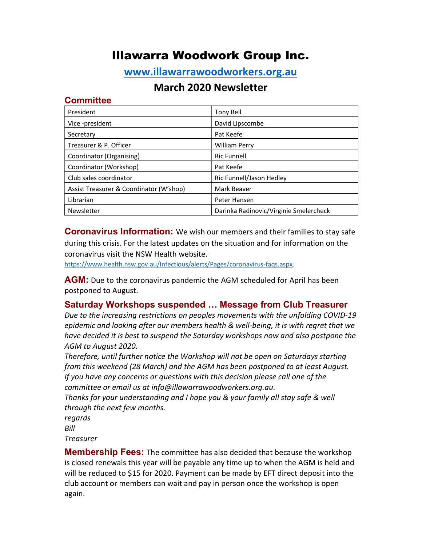# Illawarra Woodwork Group Inc.

## www.illawarrawoodworkers.org.au

## March 2020 Newsletter

#### **Committee**

| President                               | Tony Bell                              |
|-----------------------------------------|----------------------------------------|
| Vice-president                          | David Lipscombe                        |
| Secretary                               | Pat Keefe                              |
| Treasurer & P. Officer                  | <b>William Perry</b>                   |
| Coordinator (Organising)                | <b>Ric Funnell</b>                     |
| Coordinator (Workshop)                  | Pat Keefe                              |
| Club sales coordinator                  | Ric Funnell/Jason Hedley               |
| Assist Treasurer & Coordinator (W'shop) | Mark Beaver                            |
| Librarian                               | Peter Hansen                           |
| Newsletter                              | Darinka Radinovic/Virginie Smelercheck |

**Coronavirus Information:** We wish our members and their families to stay safe during this crisis. For the latest updates on the situation and for information on the coronavirus visit the NSW Health website.

https://www.health.nsw.gov.au/Infectious/alerts/Pages/coronavirus-faqs.aspx.

**AGM:** Due to the coronavirus pandemic the AGM scheduled for April has been postponed to August.

### Saturday Workshops suspended … Message from Club Treasurer

Due to the increasing restrictions on peoples movements with the unfolding COVID-19 epidemic and looking after our members health & well-being, it is with regret that we have decided it is best to suspend the Saturday workshops now and also postpone the AGM to August 2020.

Therefore, until further notice the Workshop will not be open on Saturdays starting from this weekend (28 March) and the AGM has been postponed to at least August. If you have any concerns or questions with this decision please call one of the committee or email us at info@illawarrawoodworkers.org.au.

Thanks for your understanding and I hope you & your family all stay safe & well through the next few months.

regards

Bill

Treasurer

**Membership Fees:** The committee has also decided that because the workshop is closed renewals this year will be payable any time up to when the AGM is held and will be reduced to \$15 for 2020. Payment can be made by EFT direct deposit into the club account or members can wait and pay in person once the workshop is open again.